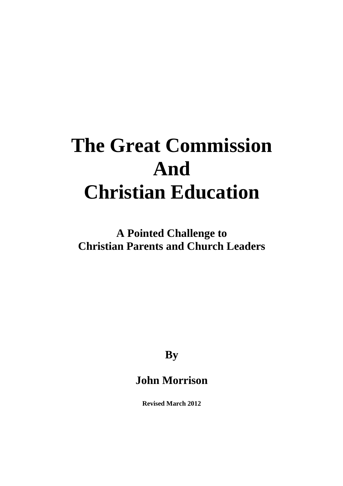# **The Great Commission And Christian Education**

**A Pointed Challenge to Christian Parents and Church Leaders** 

**By** 

# **John Morrison**

**Revised March 2012**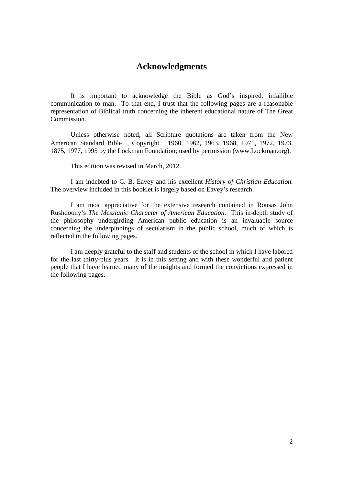### **Acknowledgments**

 It is important to acknowledge the Bible as God's inspired, infallible communication to man. To that end, I trust that the following pages are a reasonable representation of Biblical truth concerning the inherent educational nature of The Great Commission.

 Unless otherwise noted, all Scripture quotations are taken from the New American Standard Bible®, Copyright© 1960, 1962, 1963, 1968, 1971, 1972, 1973, 1875, 1977, 1995 by the Lockman Foundation; used by permission (www.Lockman.org).

This edition was revised in March, 2012.

 I am indebted to C. B. Eavey and his excellent *History of Christian Education.* The overview included in this booklet is largely based on Eavey's research.

 I am most appreciative for the extensive research contained in Rousas John Rushdoony's *The Messianic Character of American Education.* This in-depth study of the philosophy undergirding American public education is an invaluable source concerning the underpinnings of secularism in the public school, much of which is reflected in the following pages.

 I am deeply grateful to the staff and students of the school in which I have labored for the last thirty-plus years. It is in this setting and with these wonderful and patient people that I have learned many of the insights and formed the convictions expressed in the following pages.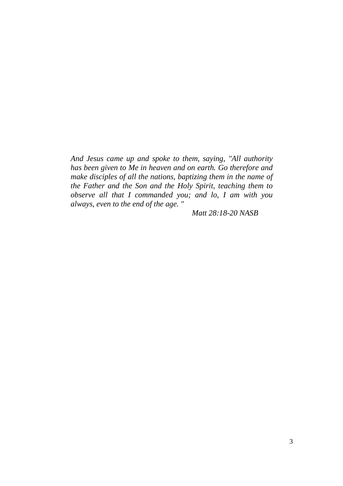*And Jesus came up and spoke to them, saying, "All authority has been given to Me in heaven and on earth. Go therefore and make disciples of all the nations, baptizing them in the name of the Father and the Son and the Holy Spirit, teaching them to observe all that I commanded you; and lo, I am with you always, even to the end of the age. "* 

*Matt 28:18-20 NASB*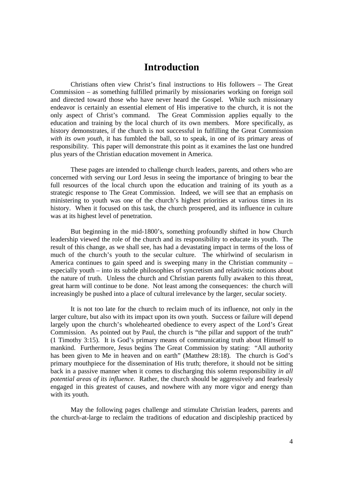## **Introduction**

 Christians often view Christ's final instructions to His followers – The Great Commission – as something fulfilled primarily by missionaries working on foreign soil and directed toward those who have never heard the Gospel. While such missionary endeavor is certainly an essential element of His imperative to the church, it is not the only aspect of Christ's command. The Great Commission applies equally to the education and training by the local church of its own members. More specifically, as history demonstrates, if the church is not successful in fulfilling the Great Commission *with its own youth*, it has fumbled the ball, so to speak, in one of its primary areas of responsibility. This paper will demonstrate this point as it examines the last one hundred plus years of the Christian education movement in America.

 These pages are intended to challenge church leaders, parents, and others who are concerned with serving our Lord Jesus in seeing the importance of bringing to bear the full resources of the local church upon the education and training of its youth as a strategic response to The Great Commission. Indeed, we will see that an emphasis on ministering to youth was one of the church's highest priorities at various times in its history. When it focused on this task, the church prospered, and its influence in culture was at its highest level of penetration.

 But beginning in the mid-1800's, something profoundly shifted in how Church leadership viewed the role of the church and its responsibility to educate its youth. The result of this change, as we shall see, has had a devastating impact in terms of the loss of much of the church's youth to the secular culture. The whirlwind of secularism in America continues to gain speed and is sweeping many in the Christian community – especially youth – into its subtle philosophies of syncretism and relativistic notions about the nature of truth. Unless the church and Christian parents fully awaken to this threat, great harm will continue to be done. Not least among the consequences: the church will increasingly be pushed into a place of cultural irrelevance by the larger, secular society.

 It is not too late for the church to reclaim much of its influence, not only in the larger culture, but also with its impact upon its own youth. Success or failure will depend largely upon the church's wholehearted obedience to every aspect of the Lord's Great Commission. As pointed out by Paul, the church is "the pillar and support of the truth" (1 Timothy 3:15). It is God's primary means of communicating truth about Himself to mankind. Furthermore, Jesus begins The Great Commission by stating:"All authority has been given to Me in heaven and on earth" (Matthew 28:18). The church is God's primary mouthpiece for the dissemination of His truth; therefore, it should not be sitting back in a passive manner when it comes to discharging this solemn responsibility *in all potential areas of its influence*. Rather, the church should be aggressively and fearlessly engaged in this greatest of causes, and nowhere with any more vigor and energy than with its youth*.*

May the following pages challenge and stimulate Christian leaders, parents and the church-at-large to reclaim the traditions of education and discipleship practiced by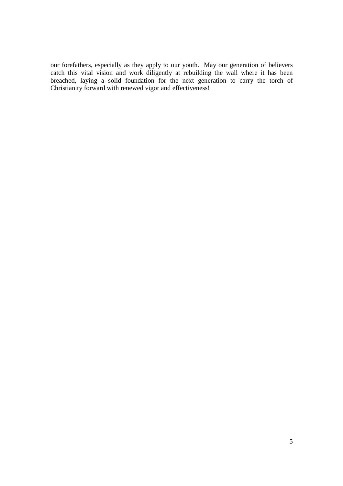our forefathers, especially as they apply to our youth. May our generation of believers catch this vital vision and work diligently at rebuilding the wall where it has been breached, laying a solid foundation for the next generation to carry the torch of Christianity forward with renewed vigor and effectiveness!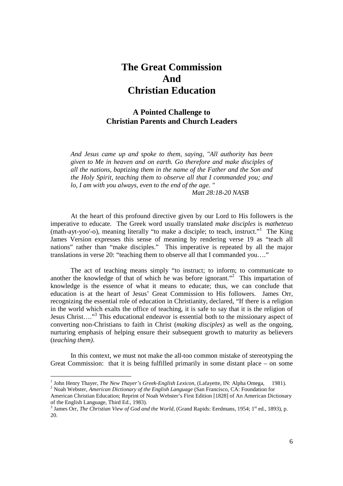# **The Great Commission And Christian Education**

#### **A Pointed Challenge to Christian Parents and Church Leaders**

*And Jesus came up and spoke to them, saying, "All authority has been given to Me in heaven and on earth. Go therefore and make disciples of all the nations, baptizing them in the name of the Father and the Son and the Holy Spirit, teaching them to observe all that I commanded you; and lo, I am with you always, even to the end of the age. "* 

*Matt 28:18-20 NASB*

At the heart of this profound directive given by our Lord to His followers is the imperative to educate. The Greek word usually translated *make disciples* is *matheteuo* (math-ayt-yoo'-o), meaning literally "to make a disciple; to teach, instruct."<sup>1</sup> The King James Version expresses this sense of meaning by rendering verse 19 as "teach all nations" rather than "make disciples." This imperative is repeated by all the major translations in verse 20: "teaching them to observe all that I commanded you…."

The act of teaching means simply "to instruct; to inform; to communicate to another the knowledge of that of which he was before ignorant."<sup>2</sup> This impartation of knowledge is the essence of what it means to educate; thus, we can conclude that education is at the heart of Jesus' Great Commission to His followers. James Orr, recognizing the essential role of education in Christianity, declared, "If there is a religion in the world which exalts the office of teaching, it is safe to say that it is the religion of Jesus Christ...."<sup>3</sup> This educational endeavor is essential both to the missionary aspect of converting non-Christians to faith in Christ (*making disciples)* as well as the ongoing, nurturing emphasis of helping ensure their subsequent growth to maturity as believers (*teaching them)*.

In this context, we must not make the all-too common mistake of stereotyping the Great Commission: that it is being fulfilled primarily in some distant place – on some

<sup>&</sup>lt;sup>1</sup> John Henry Thayer, *The New Thayer's Greek-English Lexicon*, (Lafayette, IN: Alpha Omega, © 1981). 2 Noah Webster, *American Dictionary of the English Language* (San Francisco, CA: Foundation for

American Christian Education; Reprint of Noah Webster's First Edition [1828] of An American Dictionary of the English Language, Third Ed., 1983).

<sup>&</sup>lt;sup>3</sup> James Orr, *The Christian View of God and the World*, (Grand Rapids: Eerdmans, 1954; 1<sup>st</sup> ed., 1893), p. 20.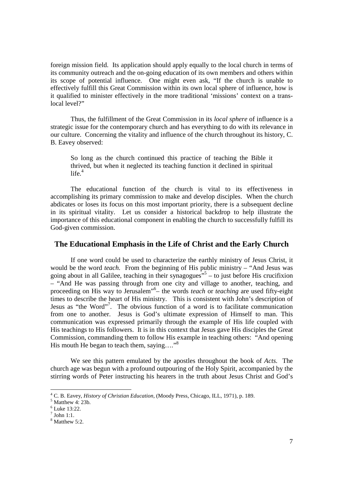foreign mission field. Its application should apply equally to the local church in terms of its community outreach and the on-going education of its own members and others within its scope of potential influence. One might even ask, "If the church is unable to effectively fulfill this Great Commission within its own local sphere of influence, how is it qualified to minister effectively in the more traditional 'missions' context on a translocal level?"

Thus, the fulfillment of the Great Commission in its *local sphere* of influence is a strategic issue for the contemporary church and has everything to do with its relevance in our culture. Concerning the vitality and influence of the church throughout its history, C. B. Eavey observed:

So long as the church continued this practice of teaching the Bible it thrived, but when it neglected its teaching function it declined in spiritual  $life.<sup>4</sup>$ 

The educational function of the church is vital to its effectiveness in accomplishing its primary commission to make and develop disciples. When the church abdicates or loses its focus on this most important priority, there is a subsequent decline in its spiritual vitality. Let us consider a historical backdrop to help illustrate the importance of this educational component in enabling the church to successfully fulfill its God-given commission.

#### **The Educational Emphasis in the Life of Christ and the Early Church**

If one word could be used to characterize the earthly ministry of Jesus Christ, it would be the word *teach*. From the beginning of His public ministry – "And Jesus was going about in all Galilee, teaching in their synagogues<sup> $5$ </sup> – to just before His crucifixion – "And He was passing through from one city and village to another, teaching, and proceeding on His way to Jerusalem"<sup>6</sup> – the words *teach* or *teaching* are used fifty-eight times to describe the heart of His ministry. This is consistent with John's description of Jesus as "the Word"<sup>7</sup> . The obvious function of a word is to facilitate communication from one to another. Jesus is God's ultimate expression of Himself to man. This communication was expressed primarily through the example of His life coupled with His teachings to His followers. It is in this context that Jesus gave His disciples the Great Commission, commanding them to follow His example in teaching others: "And opening His mouth He began to teach them, saying...."<sup>8</sup>

We see this pattern emulated by the apostles throughout the book of *Acts.* The church age was begun with a profound outpouring of the Holy Spirit, accompanied by the stirring words of Peter instructing his hearers in the truth about Jesus Christ and God's

 4 C. B. Eavey, *History of Christian Education,* (Moody Press, Chicago, ILL, 1971), p. 189.

 $<sup>5</sup>$  Matthew 4: 23b.</sup>

<sup>6</sup> Luke 13:22.

 $<sup>7</sup>$  John 1:1.</sup>

 $<sup>8</sup>$  Matthew 5:2.</sup>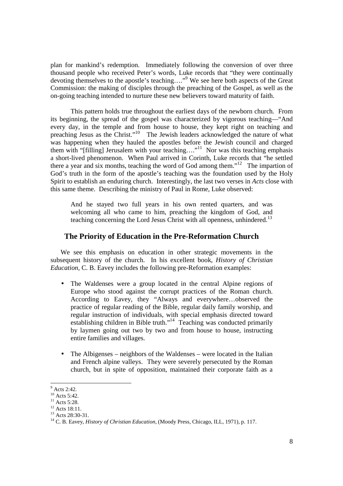plan for mankind's redemption. Immediately following the conversion of over three thousand people who received Peter's words, Luke records that "they were continually devoting themselves to the apostle's teaching…."<sup>9</sup> We see here both aspects of the Great Commission: the making of disciples through the preaching of the Gospel, as well as the on-going teaching intended to nurture these new believers toward maturity of faith.

This pattern holds true throughout the earliest days of the newborn church*.* From its beginning, the spread of the gospel was characterized by vigorous teaching—"And every day, in the temple and from house to house, they kept right on teaching and preaching Jesus as the Christ."<sup>10</sup> The Jewish leaders acknowledged the nature of what was happening when they hauled the apostles before the Jewish council and charged them with "[filling] Jerusalem with your teaching…." <sup>11</sup> Nor was this teaching emphasis a short-lived phenomenon. When Paul arrived in Corinth, Luke records that "he settled there a year and six months, teaching the word of God among them."<sup>12</sup> The impartion of God's truth in the form of the apostle's teaching was the foundation used by the Holy Spirit to establish an enduring church. Interestingly, the last two verses in *Acts* close with this same theme. Describing the ministry of Paul in Rome, Luke observed:

And he stayed two full years in his own rented quarters, and was welcoming all who came to him, preaching the kingdom of God, and teaching concerning the Lord Jesus Christ with all openness, unhindered.<sup>13</sup>

#### **The Priority of Education in the Pre-Reformation Church**

We see this emphasis on education in other strategic movements in the subsequent history of the church. In his excellent book, *History of Christian Education,* C. B. Eavey includes the following pre-Reformation examples:

- The Waldenses were a group located in the central Alpine regions of Europe who stood against the corrupt practices of the Roman church. According to Eavey, they "Always and everywhere…observed the practice of regular reading of the Bible, regular daily family worship, and regular instruction of individuals, with special emphasis directed toward establishing children in Bible truth."<sup>14</sup> Teaching was conducted primarily by laymen going out two by two and from house to house, instructing entire families and villages.
- The Albigenses neighbors of the Waldenses were located in the Italian and French alpine valleys. They were severely persecuted by the Roman church, but in spite of opposition, maintained their corporate faith as a

 $9^{9}$  Acts 2:42.

 $^{10}$  Acts 5:42.

 $^{11}$  Acts 5:28.

<sup>&</sup>lt;sup>12</sup> Acts 18:11. <sup>13</sup> Acts 28:30-31.

<sup>14</sup> C. B. Eavey, *History of Christian Education,* (Moody Press, Chicago, ILL, 1971), p. 117.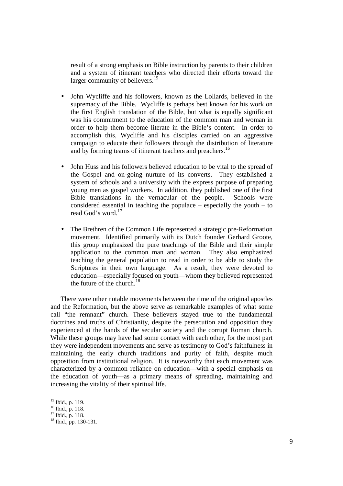result of a strong emphasis on Bible instruction by parents to their children and a system of itinerant teachers who directed their efforts toward the larger community of believers.<sup>15</sup>

- John Wycliffe and his followers, known as the Lollards, believed in the supremacy of the Bible. Wycliffe is perhaps best known for his work on the first English translation of the Bible, but what is equally significant was his commitment to the education of the common man and woman in order to help them become literate in the Bible's content. In order to accomplish this, Wycliffe and his disciples carried on an aggressive campaign to educate their followers through the distribution of literature and by forming teams of itinerant teachers and preachers.<sup>16</sup>
- John Huss and his followers believed education to be vital to the spread of the Gospel and on-going nurture of its converts. They established a system of schools and a university with the express purpose of preparing young men as gospel workers. In addition, they published one of the first Bible translations in the vernacular of the people. Schools were considered essential in teaching the populace – especially the youth – to read God's word.<sup>17</sup>
- The Brethren of the Common Life represented a strategic pre-Reformation movement. Identified primarily with its Dutch founder Gerhard Groote, this group emphasized the pure teachings of the Bible and their simple application to the common man and woman. They also emphasized teaching the general population to read in order to be able to study the Scriptures in their own language. As a result, they were devoted to education—especially focused on youth—whom they believed represented the future of the church. $18$

There were other notable movements between the time of the original apostles and the Reformation, but the above serve as remarkable examples of what some call "the remnant" church. These believers stayed true to the fundamental doctrines and truths of Christianity, despite the persecution and opposition they experienced at the hands of the secular society and the corrupt Roman church. While these groups may have had some contact with each other, for the most part they were independent movements and serve as testimony to God's faithfulness in maintaining the early church traditions and purity of faith, despite much opposition from institutional religion. It is noteworthy that each movement was characterized by a common reliance on education—with a special emphasis on the education of youth—as a primary means of spreading, maintaining and increasing the vitality of their spiritual life.

<sup>&</sup>lt;sup>15</sup> Ibid., p. 119.

<sup>16</sup> Ibid., p. 118.

 $17$  Ibid., p. 118.

<sup>18</sup> Ibid., pp. 130-131.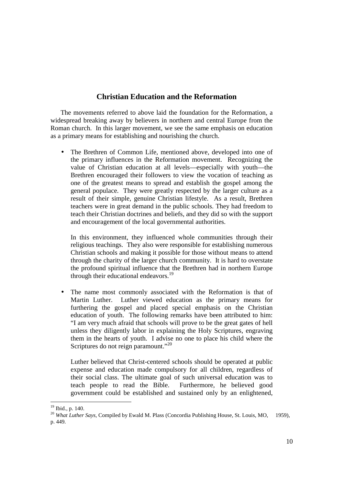#### **Christian Education and the Reformation**

The movements referred to above laid the foundation for the Reformation, a widespread breaking away by believers in northern and central Europe from the Roman church. In this larger movement, we see the same emphasis on education as a primary means for establishing and nourishing the church.

• The Brethren of Common Life, mentioned above, developed into one of the primary influences in the Reformation movement. Recognizing the value of Christian education at all levels—especially with youth—the Brethren encouraged their followers to view the vocation of teaching as one of the greatest means to spread and establish the gospel among the general populace. They were greatly respected by the larger culture as a result of their simple, genuine Christian lifestyle. As a result, Brethren teachers were in great demand in the public schools. They had freedom to teach their Christian doctrines and beliefs, and they did so with the support and encouragement of the local governmental authorities.

In this environment, they influenced whole communities through their religious teachings. They also were responsible for establishing numerous Christian schools and making it possible for those without means to attend through the charity of the larger church community. It is hard to overstate the profound spiritual influence that the Brethren had in northern Europe through their educational endeavors.<sup>19</sup>

• The name most commonly associated with the Reformation is that of Martin Luther. Luther viewed education as the primary means for furthering the gospel and placed special emphasis on the Christian education of youth. The following remarks have been attributed to him: "I am very much afraid that schools will prove to be the great gates of hell unless they diligently labor in explaining the Holy Scriptures, engraving them in the hearts of youth. I advise no one to place his child where the Scriptures do not reign paramount."<sup>20</sup>

Luther believed that Christ-centered schools should be operated at public expense and education made compulsory for all children, regardless of their social class. The ultimate goal of such universal education was to teach people to read the Bible. Furthermore, he believed good government could be established and sustained only by an enlightened,

 $19$  Ibid., p. 140.

<sup>&</sup>lt;sup>20</sup> *What Luther Says, Compiled by Ewald M. Plass (Concordia Publishing House, St. Louis, MO, © 1959),* p. 449.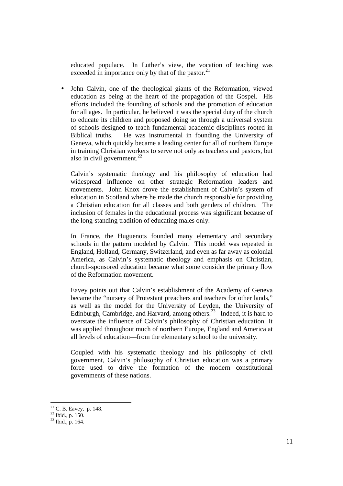educated populace. In Luther's view, the vocation of teaching was exceeded in importance only by that of the pastor. $^{21}$ 

• John Calvin, one of the theological giants of the Reformation, viewed education as being at the heart of the propagation of the Gospel. His efforts included the founding of schools and the promotion of education for all ages. In particular, he believed it was the special duty of the church to educate its children and proposed doing so through a universal system of schools designed to teach fundamental academic disciplines rooted in Biblical truths. He was instrumental in founding the University of Geneva, which quickly became a leading center for all of northern Europe in training Christian workers to serve not only as teachers and pastors, but also in civil government. $^{22}$ 

Calvin's systematic theology and his philosophy of education had widespread influence on other strategic Reformation leaders and movements. John Knox drove the establishment of Calvin's system of education in Scotland where he made the church responsible for providing a Christian education for all classes and both genders of children. The inclusion of females in the educational process was significant because of the long-standing tradition of educating males only.

In France, the Huguenots founded many elementary and secondary schools in the pattern modeled by Calvin. This model was repeated in England, Holland, Germany, Switzerland, and even as far away as colonial America, as Calvin's systematic theology and emphasis on Christian, church-sponsored education became what some consider the primary flow of the Reformation movement.

Eavey points out that Calvin's establishment of the Academy of Geneva became the "nursery of Protestant preachers and teachers for other lands," as well as the model for the University of Leyden, the University of Edinburgh, Cambridge, and Harvard, among others.<sup>23</sup> Indeed, it is hard to overstate the influence of Calvin's philosophy of Christian education. It was applied throughout much of northern Europe, England and America at all levels of education—from the elementary school to the university.

Coupled with his systematic theology and his philosophy of civil government, Calvin's philosophy of Christian education was a primary force used to drive the formation of the modern constitutional governments of these nations.

 $21$  C. B. Eavey, p. 148.

 $22$  Ibid., p. 150.

 $^{23}$  Ibid., p. 164.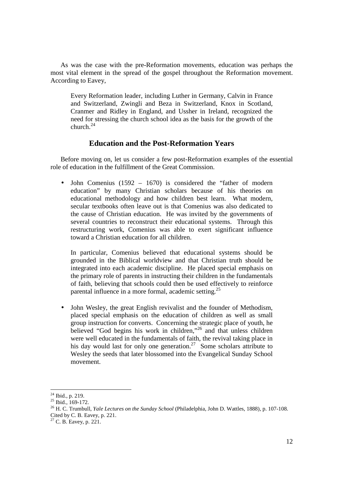As was the case with the pre-Reformation movements, education was perhaps the most vital element in the spread of the gospel throughout the Reformation movement. According to Eavey,

Every Reformation leader, including Luther in Germany, Calvin in France and Switzerland, Zwingli and Beza in Switzerland, Knox in Scotland, Cranmer and Ridley in England, and Ussher in Ireland, recognized the need for stressing the church school idea as the basis for the growth of the church. $24$ 

#### **Education and the Post-Reformation Years**

Before moving on, let us consider a few post-Reformation examples of the essential role of education in the fulfillment of the Great Commission.

• John Comenius  $(1592 - 1670)$  is considered the "father of modern" education" by many Christian scholars because of his theories on educational methodology and how children best learn. What modern, secular textbooks often leave out is that Comenius was also dedicated to the cause of Christian education. He was invited by the governments of several countries to reconstruct their educational systems. Through this restructuring work, Comenius was able to exert significant influence toward a Christian education for all children.

In particular, Comenius believed that educational systems should be grounded in the Biblical worldview and that Christian truth should be integrated into each academic discipline. He placed special emphasis on the primary role of parents in instructing their children in the fundamentals of faith, believing that schools could then be used effectively to reinforce parental influence in a more formal, academic setting.<sup>25</sup>

• John Wesley, the great English revivalist and the founder of Methodism, placed special emphasis on the education of children as well as small group instruction for converts. Concerning the strategic place of youth, he believed "God begins his work in children,"<sup>26</sup> and that unless children were well educated in the fundamentals of faith, the revival taking place in his day would last for only one generation.<sup>27</sup> Some scholars attribute to Wesley the seeds that later blossomed into the Evangelical Sunday School movement.

<sup>-</sup> $24$  Ibid., p. 219.

 $^{25}$  Ibid., 169-172.

<sup>26</sup> H. C. Trumbull, *Yale Lectures on the Sunday School* (Philadelphia, John D. Wattles, 1888), p. 107-108. Cited by C. B. Eavey, p. 221.

 $27$  C. B. Eavey, p. 221.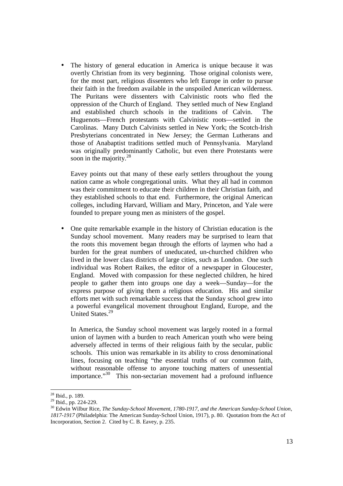The history of general education in America is unique because it was overtly Christian from its very beginning. Those original colonists were, for the most part, religious dissenters who left Europe in order to pursue their faith in the freedom available in the unspoiled American wilderness. The Puritans were dissenters with Calvinistic roots who fled the oppression of the Church of England. They settled much of New England and established church schools in the traditions of Calvin. The Huguenots—French protestants with Calvinistic roots—settled in the Carolinas. Many Dutch Calvinists settled in New York; the Scotch-Irish Presbyterians concentrated in New Jersey; the German Lutherans and those of Anabaptist traditions settled much of Pennsylvania. Maryland was originally predominantly Catholic, but even there Protestants were soon in the majority. $28$ 

Eavey points out that many of these early settlers throughout the young nation came as whole congregational units. What they all had in common was their commitment to educate their children in their Christian faith, and they established schools to that end. Furthermore, the original American colleges, including Harvard, William and Mary, Princeton, and Yale were founded to prepare young men as ministers of the gospel.

• One quite remarkable example in the history of Christian education is the Sunday school movement. Many readers may be surprised to learn that the roots this movement began through the efforts of laymen who had a burden for the great numbers of uneducated, un-churched children who lived in the lower class districts of large cities, such as London. One such individual was Robert Raikes, the editor of a newspaper in Gloucester, England. Moved with compassion for these neglected children, he hired people to gather them into groups one day a week—Sunday—for the express purpose of giving them a religious education. His and similar efforts met with such remarkable success that the Sunday school grew into a powerful evangelical movement throughout England, Europe, and the United States.<sup>29</sup>

In America, the Sunday school movement was largely rooted in a formal union of laymen with a burden to reach American youth who were being adversely affected in terms of their religious faith by the secular, public schools. This union was remarkable in its ability to cross denominational lines, focusing on teaching "the essential truths of our common faith, without reasonable offense to anyone touching matters of unessential importance."<sup>30</sup> This non-sectarian movement had a profound influence

 $28$  Ibid., p. 189.

<sup>&</sup>lt;sup>29</sup> Ibid., pp. 224-229.

<sup>&</sup>lt;sup>30</sup> Edwin Wilbur Rice, *The Sunday-School Movement, 1780-1917, and the American Sunday-School Union, 1817-1917* (Philadelphia: The American Sunday-School Union, 1917), p. 80. Quotation from the Act of Incorporation, Section 2. Cited by C. B. Eavey, p. 235.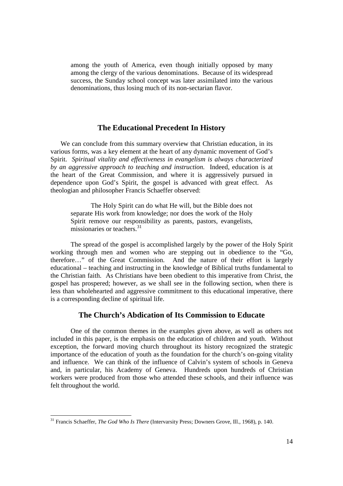among the youth of America, even though initially opposed by many among the clergy of the various denominations. Because of its widespread success, the Sunday school concept was later assimilated into the various denominations, thus losing much of its non-sectarian flavor.

#### **The Educational Precedent In History**

We can conclude from this summary overview that Christian education, in its various forms, was a key element at the heart of any dynamic movement of God's Spirit. *Spiritual vitality and effectiveness in evangelism is always characterized by an aggressive approach to teaching and instruction.* Indeed, education is at the heart of the Great Commission, and where it is aggressively pursued in dependence upon God's Spirit, the gospel is advanced with great effect. As theologian and philosopher Francis Schaeffer observed:

 The Holy Spirit can do what He will, but the Bible does not separate His work from knowledge; nor does the work of the Holy Spirit remove our responsibility as parents, pastors, evangelists, missionaries or teachers.<sup>31</sup>

The spread of the gospel is accomplished largely by the power of the Holy Spirit working through men and women who are stepping out in obedience to the "Go, therefore…" of the Great Commission. And the nature of their effort is largely educational – teaching and instructing in the knowledge of Biblical truths fundamental to the Christian faith. As Christians have been obedient to this imperative from Christ, the gospel has prospered; however, as we shall see in the following section, when there is less than wholehearted and aggressive commitment to this educational imperative, there is a corresponding decline of spiritual life.

#### **The Church's Abdication of Its Commission to Educate**

One of the common themes in the examples given above, as well as others not included in this paper, is the emphasis on the education of children and youth. Without exception, the forward moving church throughout its history recognized the strategic importance of the education of youth as the foundation for the church's on-going vitality and influence. We can think of the influence of Calvin's system of schools in Geneva and, in particular, his Academy of Geneva. Hundreds upon hundreds of Christian workers were produced from those who attended these schools, and their influence was felt throughout the world.

<sup>31</sup> Francis Schaeffer, *The God Who Is There* (Intervarsity Press; Downers Grove, Ill., 1968), p. 140.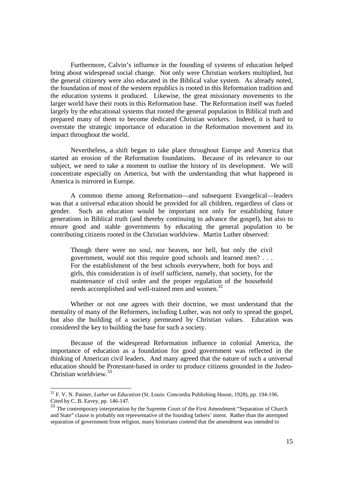Furthermore, Calvin's influence in the founding of systems of education helped bring about widespread social change. Not only were Christian workers multiplied, but the general citizenry were also educated in the Biblical value system. As already noted, the foundation of most of the western republics is rooted in this Reformation tradition and the education systems it produced. Likewise, the great missionary movements to the larger world have their roots in this Reformation base. The Reformation itself was fueled largely by the educational systems that rooted the general population in Biblical truth and prepared many of them to become dedicated Christian workers. Indeed, it is hard to overstate the strategic importance of education in the Reformation movement and its impact throughout the world.

Nevertheless, a shift began to take place throughout Europe and America that started an erosion of the Reformation foundations. Because of its relevance to our subject, we need to take a moment to outline the history of its development. We will concentrate especially on America, but with the understanding that what happened in America is mirrored in Europe.

A common theme among Reformation—and subsequent Evangelical—leaders was that a universal education should be provided for all children, regardless of class or gender. Such an education would be important not only for establishing future generations in Biblical truth (and thereby continuing to advance the gospel), but also to ensure good and stable governments by educating the general population to be contributing citizens rooted in the Christian worldview. Martin Luther observed:

Though there were no soul, nor heaven, nor hell, but only the civil government, would not this require good schools and learned men? . . . For the establishment of the best schools everywhere, both for boys and girls, this consideration is of itself sufficient, namely, that society, for the maintenance of civil order and the proper regulation of the household needs accomplished and well-trained men and women.<sup>32</sup>

Whether or not one agrees with their doctrine, we must understand that the mentality of many of the Reformers, including Luther, was not only to spread the gospel, but also the building of a society permeated by Christian values. Education was considered the key to building the base for such a society.

Because of the widespread Reformation influence in colonial America, the importance of education as a foundation for good government was reflected in the thinking of American civil leaders. And many agreed that the nature of such a universal education should be Protestant-based in order to produce citizens grounded in the Judeo-Christian worldview.<sup>33</sup>

<sup>32</sup> F. V. N. Painter, *Luther on Education* (St. Louis: Concordia Publishing House, 1928), pp. 194-196. Cited by C. B. Eavey, pp. 146-147.

 $\frac{33}{33}$  The contemporary interpretation by the Supreme Court of the First Amendment "Separation of Church" and State" clause is probably not representative of the founding fathers' intent.Rather than the attempted separation of government from religion, many historians contend that the amendment was intended to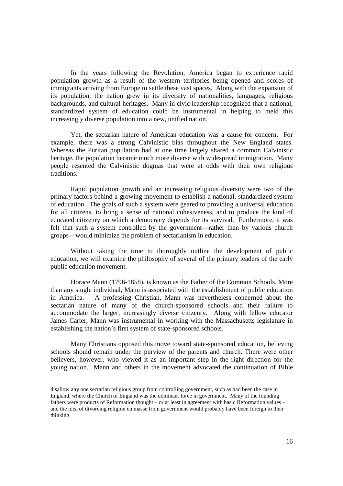In the years following the Revolution, America began to experience rapid population growth as a result of the western territories being opened and scores of immigrants arriving from Europe to settle these vast spaces. Along with the expansion of its population, the nation grew in its diversity of nationalities, languages, religious backgrounds, and cultural heritages. Many in civic leadership recognized that a national, standardized system of education could be instrumental in helping to meld this increasingly diverse population into a new, unified nation.

Yet, the sectarian nature of American education was a cause for concern. For example, there was a strong Calvinistic bias throughout the New England states. Whereas the Puritan population had at one time largely shared a common Calvinistic heritage, the population became much more diverse with widespread immigration. Many people resented the Calvinistic dogmas that were at odds with their own religious traditions.

Rapid population growth and an increasing religious diversity were two of the primary factors behind a growing movement to establish a national, standardized system of education. The goals of such a system were geared to providing a universal education for all citizens, to bring a sense of national cohesiveness, and to produce the kind of educated citizenry on which a democracy depends for its survival. Furthermore, it was felt that such a system controlled by the government—rather than by various church groups—would minimize the problem of sectarianism in education.

Without taking the time to thoroughly outline the development of public education, we will examine the philosophy of several of the primary leaders of the early public education movement.

Horace Mann (1796-1858), is known as the Father of the Common Schools. More than any single individual, Mann is associated with the establishment of public education in America. A professing Christian, Mann was nevertheless concerned about the sectarian nature of many of the church-sponsored schools and their failure to accommodate the larger, increasingly diverse citizenry. Along with fellow educator James Carter, Mann was instrumental in working with the Massachusetts legislature in establishing the nation's first system of state-sponsored schools.

Many Christians opposed this move toward state-sponsored education, believing schools should remain under the purview of the parents and church. There were other believers, however, who viewed it as an important step in the right direction for the young nation. Mann and others in the movement advocated the continuation of Bible

disallow any one sectarian religious group from controlling government, such as had been the case in England, where the Church of England was the dominant force in government. Many of the founding fathers were products of Reformation thought – or at least in agreement with basic Reformation values – and the idea of divorcing religion en masse from government would probably have been foreign to their thinking.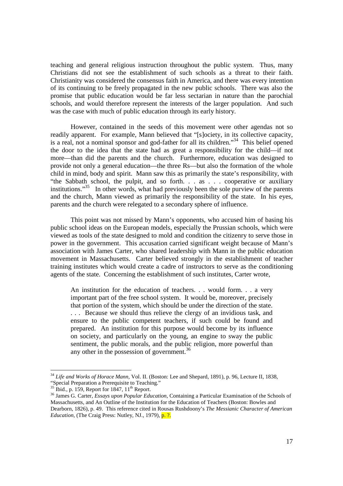teaching and general religious instruction throughout the public system. Thus, many Christians did not see the establishment of such schools as a threat to their faith. Christianity was considered the consensus faith in America, and there was every intention of its continuing to be freely propagated in the new public schools. There was also the promise that public education would be far less sectarian in nature than the parochial schools, and would therefore represent the interests of the larger population. And such was the case with much of public education through its early history.

However, contained in the seeds of this movement were other agendas not so readily apparent. For example, Mann believed that "[s]ociety, in its collective capacity, is a real, not a nominal sponsor and god-father for all its children."<sup>34</sup> This belief opened the door to the idea that the state had as great a responsibility for the child—if not more—than did the parents and the church. Furthermore, education was designed to provide not only a general education—the three Rs—but also the formation of the whole child in mind, body and spirit. Mann saw this as primarily the state's responsibility, with "the Sabbath school, the pulpit, and so forth. . . as . . . cooperative or auxiliary institutions."<sup>35</sup> In other words, what had previously been the sole purview of the parents and the church, Mann viewed as primarily the responsibility of the state. In his eyes, parents and the church were relegated to a secondary sphere of influence.

This point was not missed by Mann's opponents, who accused him of basing his public school ideas on the European models, especially the Prussian schools, which were viewed as tools of the state designed to mold and condition the citizenry to serve those in power in the government. This accusation carried significant weight because of Mann's association with James Carter, who shared leadership with Mann in the public education movement in Massachusetts. Carter believed strongly in the establishment of teacher training institutes which would create a cadre of instructors to serve as the conditioning agents of the state. Concerning the establishment of such institutes, Carter wrote,

An institution for the education of teachers. . . would form. . . a very important part of the free school system. It would be, moreover, precisely that portion of the system, which should be under the direction of the state. . . . Because we should thus relieve the clergy of an invidious task, and ensure to the public competent teachers, if such could be found and prepared. An institution for this purpose would become by its influence on society, and particularly on the young, an engine to sway the public sentiment, the public morals, and the public religion, more powerful than any other in the possession of government.<sup>36</sup>

<sup>34</sup> *Life and Works of Horace Mann,* Vol. II. (Boston: Lee and Shepard, 1891), p. 96, Lecture II, 1838, "Special Preparation a Prerequisite to Teaching."

 $35$  Ibid., p. 159, Report for 1847,  $11<sup>th</sup>$  Report.

<sup>36</sup> James G. Carter, *Essays upon Popular Education*, Containing a Particular Examination of the Schools of Massachusetts, and An Outline of the Institution for the Education of Teachers (Boston: Bowles and Dearborn, 1826), p. 49. This reference cited in Rousas Rushdoony's *The Messianic Character of American Education,* (The Craig Press: Nutley, NJ., 1979), p. ?.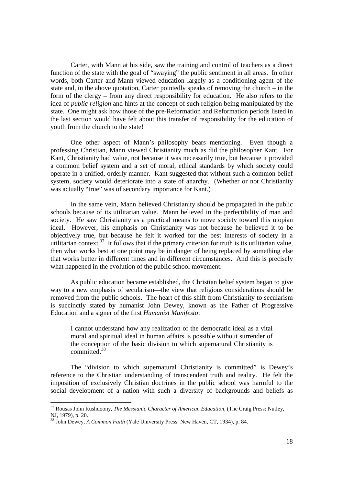Carter, with Mann at his side, saw the training and control of teachers as a direct function of the state with the goal of "swaying" the public sentiment in all areas. In other words, both Carter and Mann viewed education largely as a conditioning agent of the state and, in the above quotation, Carter pointedly speaks of removing the church – in the form of the clergy – from any direct responsibility for education. He also refers to the idea of *public religion* and hints at the concept of such religion being manipulated by the state. One might ask how those of the pre-Reformation and Reformation periods listed in the last section would have felt about this transfer of responsibility for the education of youth from the church to the state!

One other aspect of Mann's philosophy bears mentioning. Even though a professing Christian, Mann viewed Christianity much as did the philosopher Kant. For Kant, Christianity had value, not because it was necessarily true, but because it provided a common belief system and a set of moral, ethical standards by which society could operate in a unified, orderly manner. Kant suggested that without such a common belief system, society would deteriorate into a state of anarchy. (Whether or not Christianity was actually "true" was of secondary importance for Kant.)

In the same vein, Mann believed Christianity should be propagated in the public schools because of its utilitarian value. Mann believed in the perfectibility of man and society. He saw Christianity as a practical means to move society toward this utopian ideal. However, his emphasis on Christianity was not because he believed it to be objectively true, but because he felt it worked for the best interests of society in a utilitarian context.<sup>37</sup> It follows that if the primary criterion for truth is its utilitarian value, then what works best at one point may be in danger of being replaced by something else that works better in different times and in different circumstances. And this is precisely what happened in the evolution of the public school movement.

As public education became established, the Christian belief system began to give way to a new emphasis of secularism—the view that religious considerations should be removed from the public schools. The heart of this shift from Christianity to secularism is succinctly stated by humanist John Dewey, known as the Father of Progressive Education and a signer of the first *Humanist Manifesto*:

I cannot understand how any realization of the democratic ideal as a vital moral and spiritual ideal in human affairs is possible without surrender of the conception of the basic division to which supernatural Christianity is committed.<sup>38</sup>

The "division to which supernatural Christianity is committed" is Dewey's reference to the Christian understanding of transcendent truth and reality. He felt the imposition of exclusively Christian doctrines in the public school was harmful to the social development of a nation with such a diversity of backgrounds and beliefs as

<sup>37</sup> Rousas John Rushdoony, *The Messianic Character of American Education,* (The Craig Press: Nutley, NJ, 1979), p. 20.

<sup>38</sup> John Dewey, *A Common Faith* (Yale University Press: New Haven, CT, 1934), p. 84.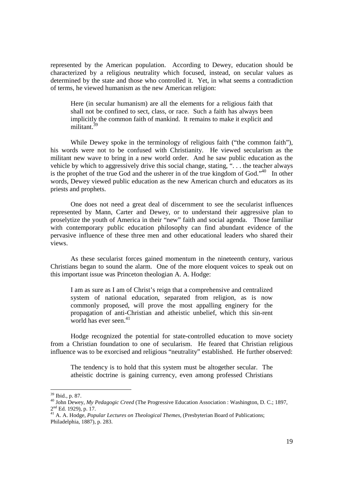represented by the American population. According to Dewey, education should be characterized by a religious neutrality which focused, instead, on secular values as determined by the state and those who controlled it. Yet, in what seems a contradiction of terms, he viewed humanism as the new American religion:

Here (in secular humanism) are all the elements for a religious faith that shall not be confined to sect, class, or race. Such a faith has always been implicitly the common faith of mankind. It remains to make it explicit and militant<sup>3</sup>

While Dewey spoke in the terminology of religious faith ("the common faith"), his words were not to be confused with Christianity. He viewed secularism as the militant new wave to bring in a new world order. And he saw public education as the vehicle by which to aggressively drive this social change, stating, ". . . the teacher always is the prophet of the true God and the usherer in of the true kingdom of God. $140$  In other words, Dewey viewed public education as the new American church and educators as its priests and prophets.

One does not need a great deal of discernment to see the secularist influences represented by Mann, Carter and Dewey, or to understand their aggressive plan to proselytize the youth of America in their "new" faith and social agenda. Those familiar with contemporary public education philosophy can find abundant evidence of the pervasive influence of these three men and other educational leaders who shared their views.

As these secularist forces gained momentum in the nineteenth century, various Christians began to sound the alarm. One of the more eloquent voices to speak out on this important issue was Princeton theologian A. A. Hodge:

I am as sure as I am of Christ's reign that a comprehensive and centralized system of national education, separated from religion, as is now commonly proposed, will prove the most appalling enginery for the propagation of anti-Christian and atheistic unbelief, which this sin-rent world has ever seen. $41$ 

Hodge recognized the potential for state-controlled education to move society from a Christian foundation to one of secularism. He feared that Christian religious influence was to be exorcised and religious "neutrality" established. He further observed:

The tendency is to hold that this system must be altogether secular. The atheistic doctrine is gaining currency, even among professed Christians

<sup>39</sup> Ibid., p. 87.

<sup>40</sup> John Dewey, *My Pedagogic Creed* (The Progressive Education Association : Washington, D. C.; 1897, 2<sup>nd</sup> Ed. 1929), p. 17.

<sup>&</sup>lt;sup>41</sup> A. A. Hodge, *Popular Lectures on Theological Themes*, (Presbyterian Board of Publications; Philadelphia, 1887), p. 283.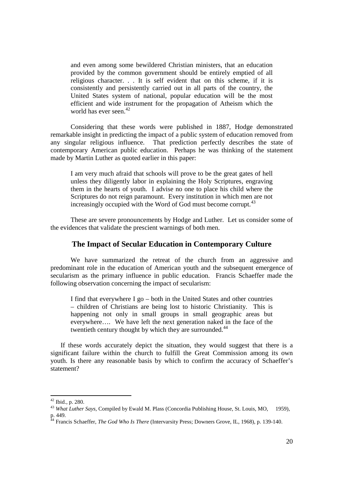and even among some bewildered Christian ministers, that an education provided by the common government should be entirely emptied of all religious character. . . It is self evident that on this scheme, if it is consistently and persistently carried out in all parts of the country, the United States system of national, popular education will be the most efficient and wide instrument for the propagation of Atheism which the world has ever seen.<sup>42</sup>

Considering that these words were published in 1887, Hodge demonstrated remarkable insight in predicting the impact of a public system of education removed from any singular religious influence. That prediction perfectly describes the state of contemporary American public education. Perhaps he was thinking of the statement made by Martin Luther as quoted earlier in this paper:

I am very much afraid that schools will prove to be the great gates of hell unless they diligently labor in explaining the Holy Scriptures, engraving them in the hearts of youth. I advise no one to place his child where the Scriptures do not reign paramount. Every institution in which men are not increasingly occupied with the Word of God must become corrupt.<sup>43</sup>

These are severe pronouncements by Hodge and Luther. Let us consider some of the evidences that validate the prescient warnings of both men.

#### **The Impact of Secular Education in Contemporary Culture**

We have summarized the retreat of the church from an aggressive and predominant role in the education of American youth and the subsequent emergence of secularism as the primary influence in public education. Francis Schaeffer made the following observation concerning the impact of secularism:

I find that everywhere I go – both in the United States and other countries – children of Christians are being lost to historic Christianity. This is happening not only in small groups in small geographic areas but everywhere…. We have left the next generation naked in the face of the twentieth century thought by which they are surrounded.<sup>44</sup>

If these words accurately depict the situation, they would suggest that there is a significant failure within the church to fulfill the Great Commission among its own youth. Is there any reasonable basis by which to confirm the accuracy of Schaeffer's statement?

 $42$  Ibid., p. 280.

<sup>&</sup>lt;sup>43</sup> *What Luther Says, Compiled by Ewald M. Plass (Concordia Publishing House, St. Louis, MO, © 1959),* p. 449.

<sup>&</sup>lt;sup>44</sup> Francis Schaeffer, *The God Who Is There* (Intervarsity Press; Downers Grove, IL, 1968), p. 139-140.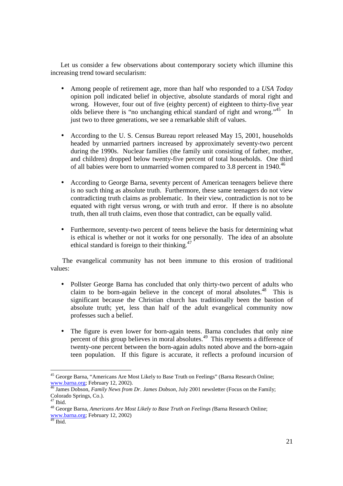Let us consider a few observations about contemporary society which illumine this increasing trend toward secularism:

- Among people of retirement age, more than half who responded to a *USA Today* opinion poll indicated belief in objective, absolute standards of moral right and wrong. However, four out of five (eighty percent) of eighteen to thirty-five year olds believe there is "no unchanging ethical standard of right and wrong."<sup>45</sup> In just two to three generations, we see a remarkable shift of values.
- According to the U.S. Census Bureau report released May 15, 2001, households headed by unmarried partners increased by approximately seventy-two percent during the 1990s. Nuclear families (the family unit consisting of father, mother, and children) dropped below twenty-five percent of total households. One third of all babies were born to unmarried women compared to 3.8 percent in 1940.<sup>46</sup>
- According to George Barna, seventy percent of American teenagers believe there is no such thing as absolute truth. Furthermore, these same teenagers do not view contradicting truth claims as problematic. In their view, contradiction is not to be equated with right versus wrong, or with truth and error. If there is no absolute truth, then all truth claims, even those that contradict, can be equally valid.
- Furthermore, seventy-two percent of teens believe the basis for determining what is ethical is whether or not it works for one personally. The idea of an absolute ethical standard is foreign to their thinking.<sup>47</sup>

 The evangelical community has not been immune to this erosion of traditional values:

- Pollster George Barna has concluded that only thirty-two percent of adults who claim to be born-again believe in the concept of moral absolutes.<sup>48</sup> This is significant because the Christian church has traditionally been the bastion of absolute truth; yet, less than half of the adult evangelical community now professes such a belief.
- The figure is even lower for born-again teens. Barna concludes that only nine percent of this group believes in moral absolutes.<sup>49</sup> This represents a difference of twenty-one percent between the born-again adults noted above and the born-again teen population. If this figure is accurate, it reflects a profound incursion of

<sup>&</sup>lt;sup>45</sup> George Barna, "Americans Are Most Likely to Base Truth on Feelings" (Barna Research Online; www.barna.org; February 12, 2002).

<sup>46</sup> James Dobson, *Family News from Dr. James Dobson*, July 2001 newsletter (Focus on the Family; Colorado Springs, Co.).

 $^7$  Ibid.

<sup>48</sup> George Barna, *Americans Are Most Likely to Base Truth on Feelings (*Barna Research Online; www.barna.org; February 12, 2002)

<sup>&</sup>lt;sup>49</sup> Ibid.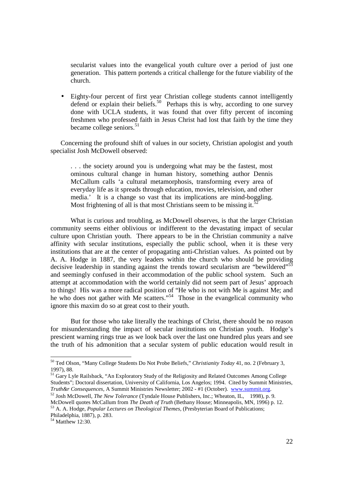secularist values into the evangelical youth culture over a period of just one generation. This pattern portends a critical challenge for the future viability of the church.

• Eighty-four percent of first year Christian college students cannot intelligently defend or explain their beliefs.<sup>50</sup> Perhaps this is why, according to one survey done with UCLA students, it was found that over fifty percent of incoming freshmen who professed faith in Jesus Christ had lost that faith by the time they became college seniors.<sup>51</sup>

Concerning the profound shift of values in our society, Christian apologist and youth specialist Josh McDowell observed:

. . . the society around you is undergoing what may be the fastest, most ominous cultural change in human history, something author Dennis McCallum calls 'a cultural metamorphosis, transforming every area of everyday life as it spreads through education, movies, television, and other media.' It is a change so vast that its implications are mind-boggling. Most frightening of all is that most Christians seem to be missing it.<sup>52</sup>

What is curious and troubling, as McDowell observes, is that the larger Christian community seems either oblivious or indifferent to the devastating impact of secular culture upon Christian youth. There appears to be in the Christian community a naïve affinity with secular institutions, especially the public school, when it is these very institutions that are at the center of propagating anti-Christian values. As pointed out by A. A. Hodge in 1887, the very leaders within the church who should be providing decisive leadership in standing against the trends toward secularism are "bewildered"<sup>53</sup> and seemingly confused in their accommodation of the public school system. Such an attempt at accommodation with the world certainly did not seem part of Jesus' approach to things! His was a more radical position of "He who is not with Me is against Me; and he who does not gather with Me scatters."<sup>54</sup> Those in the evangelical community who ignore this maxim do so at great cost to their youth.

But for those who take literally the teachings of Christ, there should be no reason for misunderstanding the impact of secular institutions on Christian youth. Hodge's prescient warning rings true as we look back over the last one hundred plus years and see the truth of his admonition that a secular system of public education would result in

<sup>52</sup> Josh McDowell, *The New Tolerance* (Tyndale House Publishers, Inc.; Wheaton, IL, ©1998), p. 9. McDowell quotes McCallum from *The Death of Truth* (Bethany House; Minneapolis, MN, 1996) p. 12.

<u>.</u>

<sup>50</sup> Ted Olson, "Many College Students Do Not Probe Beliefs," *Christianity Today* 41, no. 2 (February 3, 1997), 88.

<sup>&</sup>lt;sup>51</sup> Gary Lyle Railsback, "An Exploratory Study of the Religiosity and Related Outcomes Among College Students"; Doctoral dissertation, University of California, Los Angelos; 1994. Cited by Summit Ministries, *Truth&r Consequences,* A Summit Ministries Newsletter; 2002 - #1 (October). www.summit.org.

<sup>53</sup> A. A. Hodge, *Popular Lectures on Theological Themes,* (Presbyterian Board of Publications; Philadelphia, 1887), p. 283.

 $54$  Matthew 12:30.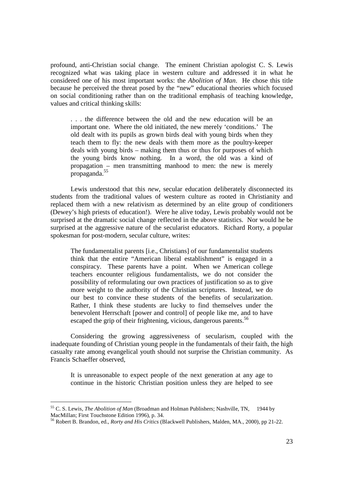profound, anti-Christian social change. The eminent Christian apologist C. S. Lewis recognized what was taking place in western culture and addressed it in what he considered one of his most important works: the *Abolition of Man*. He chose this title because he perceived the threat posed by the "new" educational theories which focused on social conditioning rather than on the traditional emphasis of teaching knowledge, values and critical thinking skills:

. . . the difference between the old and the new education will be an important one. Where the old initiated, the new merely 'conditions.' The old dealt with its pupils as grown birds deal with young birds when they teach them to fly: the new deals with them more as the poultry-keeper deals with young birds – making them thus or thus for purposes of which the young birds know nothing. In a word, the old was a kind of propagation – men transmitting manhood to men: the new is merely propaganda.<sup>55</sup>

Lewis understood that this *new*, secular education deliberately disconnected its students from the traditional values of western culture as rooted in Christianity and replaced them with a new relativism as determined by an elite group of conditioners (Dewey's high priests of education!). Were he alive today, Lewis probably would not be surprised at the dramatic social change reflected in the above statistics. Nor would he be surprised at the aggressive nature of the secularist educators. Richard Rorty, a popular spokesman for post-modern, secular culture, writes:

The fundamentalist parents [i.e., Christians] of our fundamentalist students think that the entire "American liberal establishment" is engaged in a conspiracy. These parents have a point. When we American college teachers encounter religious fundamentalists, we do not consider the possibility of reformulating our own practices of justification so as to give more weight to the authority of the Christian scriptures. Instead, we do our best to convince these students of the benefits of secularization. Rather, I think these students are lucky to find themselves under the benevolent Herrschaft [power and control] of people like me, and to have escaped the grip of their frightening, vicious, dangerous parents.<sup>56</sup>

Considering the growing aggressiveness of secularism, coupled with the inadequate founding of Christian young people in the fundamentals of their faith, the high casualty rate among evangelical youth should not surprise the Christian community. As Francis Schaeffer observed,

It is unreasonable to expect people of the next generation at any age to continue in the historic Christian position unless they are helped to see

<sup>&</sup>lt;sup>55</sup> C. S. Lewis, *The Abolition of Man* (Broadman and Holman Publishers; Nashville, TN, © 1944 by MacMillan; First Touchstone Edition 1996), p. 34.

<sup>56</sup> Robert B. Brandon, ed., *Rorty and His Critics* (Blackwell Publishers, Malden, MA., 2000), pp 21-22.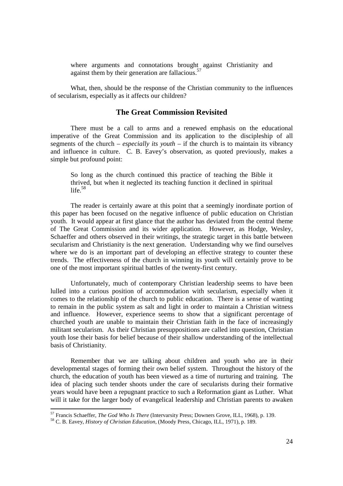where arguments and connotations brought against Christianity and against them by their generation are fallacious.<sup>57</sup>

What, then, should be the response of the Christian community to the influences of secularism, especially as it affects our children?

#### **The Great Commission Revisited**

There must be a call to arms and a renewed emphasis on the educational imperative of the Great Commission and its application to the discipleship of all segments of the church – *especially its youth* – if the church is to maintain its vibrancy and influence in culture. C. B. Eavey's observation, as quoted previously, makes a simple but profound point:

So long as the church continued this practice of teaching the Bible it thrived, but when it neglected its teaching function it declined in spiritual life. $58$ 

 The reader is certainly aware at this point that a seemingly inordinate portion of this paper has been focused on the negative influence of public education on Christian youth. It would appear at first glance that the author has deviated from the central theme of The Great Commission and its wider application. However, as Hodge, Wesley, Schaeffer and others observed in their writings, the strategic target in this battle between secularism and Christianity is the next generation. Understanding why we find ourselves where we do is an important part of developing an effective strategy to counter these trends. The effectiveness of the church in winning its youth will certainly prove to be one of the most important spiritual battles of the twenty-first century.

Unfortunately, much of contemporary Christian leadership seems to have been lulled into a curious position of accommodation with secularism, especially when it comes to the relationship of the church to public education. There is a sense of wanting to remain in the public system as salt and light in order to maintain a Christian witness and influence. However, experience seems to show that a significant percentage of churched youth are unable to maintain their Christian faith in the face of increasingly militant secularism. As their Christian presuppositions are called into question, Christian youth lose their basis for belief because of their shallow understanding of the intellectual basis of Christianity.

Remember that we are talking about children and youth who are in their developmental stages of forming their own belief system. Throughout the history of the church, the education of youth has been viewed as a time of nurturing and training. The idea of placing such tender shoots under the care of secularists during their formative years would have been a repugnant practice to such a Reformation giant as Luther. What will it take for the larger body of evangelical leadership and Christian parents to awaken

<u>.</u>

<sup>57</sup> Francis Schaeffer, *The God Who Is There* (Intervarsity Press; Downers Grove, ILL, 1968), p. 139.

<sup>58</sup> C. B. Eavey, *History of Christian Education,* (Moody Press, Chicago, ILL, 1971), p. 189.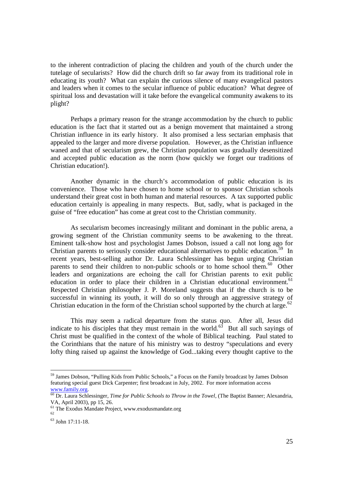to the inherent contradiction of placing the children and youth of the church under the tutelage of secularists? How did the church drift so far away from its traditional role in educating its youth? What can explain the curious silence of many evangelical pastors and leaders when it comes to the secular influence of public education? What degree of spiritual loss and devastation will it take before the evangelical community awakens to its plight?

Perhaps a primary reason for the strange accommodation by the church to public education is the fact that it started out as a benign movement that maintained a strong Christian influence in its early history. It also promised a less sectarian emphasis that appealed to the larger and more diverse population. However, as the Christian influence waned and that of secularism grew, the Christian population was gradually desensitized and accepted public education as the norm (how quickly we forget our traditions of Christian education!).

Another dynamic in the church's accommodation of public education is its convenience. Those who have chosen to home school or to sponsor Christian schools understand their great cost in both human and material resources. A tax supported public education certainly is appealing in many respects. But, sadly, what is packaged in the guise of "free education" has come at great cost to the Christian community.

As secularism becomes increasingly militant and dominant in the public arena, a growing segment of the Christian community seems to be awakening to the threat. Eminent talk-show host and psychologist James Dobson, issued a call not long ago for Christian parents to seriously consider educational alternatives to public education.<sup>59</sup> In recent years, best-selling author Dr. Laura Schlessinger has begun urging Christian parents to send their children to non-public schools or to home school them.<sup>60</sup> Other leaders and organizations are echoing the call for Christian parents to exit public education in order to place their children in a Christian educational environment.<sup>61</sup> Respected Christian philosopher J. P. Moreland suggests that if the church is to be successful in winning its youth, it will do so only through an aggressive strategy of Christian education in the form of the Christian school supported by the church at large.<sup>62</sup>

This may seem a radical departure from the status quo. After all, Jesus did indicate to his disciples that they must remain in the world.<sup>63</sup> But all such sayings of Christ must be qualified in the context of the whole of Biblical teaching. Paul stated to the Corinthians that the nature of his ministry was to destroy "speculations and every lofty thing raised up against the knowledge of God...taking every thought captive to the

<sup>&</sup>lt;sup>59</sup> James Dobson, "Pulling Kids from Public Schools," a Focus on the Family broadcast by James Dobson featuring special guest Dick Carpenter; first broadcast in July, 2002. For more information access www.family.org.

<sup>60</sup> Dr. Laura Schlessinger, *Time for Public Schools to Throw in the Towel,* (The Baptist Banner; Alexandria, VA, April 2003), pp 15, 26.

<sup>&</sup>lt;sup>61</sup> The Exodus Mandate Project, www.exodusmandate.org

<sup>62</sup> <sup>63</sup> John 17:11-18.